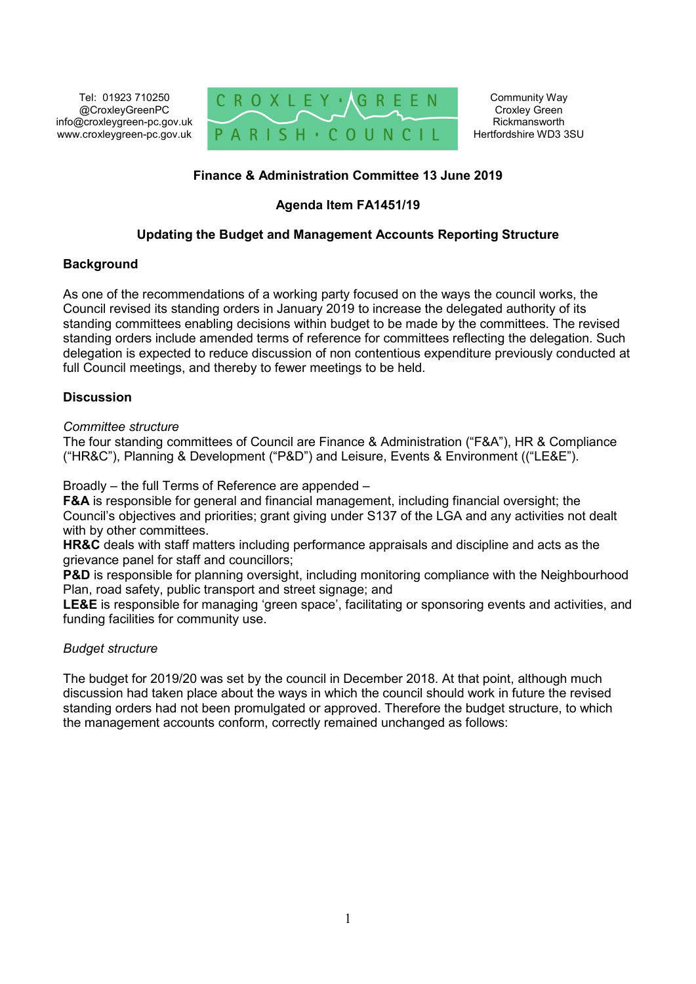Tel: 01923 710250 @CroxleyGreenPC info@croxleygreen-pc.gov.uk www.croxleygreen-pc.gov.uk



Community Way Croxley Green Rickmansworth Hertfordshire WD3 3SU

# **Finance & Administration Committee 13 June 2019**

## **Agenda Item FA1451/19**

# **Updating the Budget and Management Accounts Reporting Structure**

## **Background**

As one of the recommendations of a working party focused on the ways the council works, the Council revised its standing orders in January 2019 to increase the delegated authority of its standing committees enabling decisions within budget to be made by the committees. The revised standing orders include amended terms of reference for committees reflecting the delegation. Such delegation is expected to reduce discussion of non contentious expenditure previously conducted at full Council meetings, and thereby to fewer meetings to be held.

## **Discussion**

## *Committee structure*

The four standing committees of Council are Finance & Administration ("F&A"), HR & Compliance ("HR&C"), Planning & Development ("P&D") and Leisure, Events & Environment (("LE&E").

Broadly – the full Terms of Reference are appended –

**F&A** is responsible for general and financial management, including financial oversight; the Council's objectives and priorities; grant giving under S137 of the LGA and any activities not dealt with by other committees.

**HR&C** deals with staff matters including performance appraisals and discipline and acts as the grievance panel for staff and councillors;

**P&D** is responsible for planning oversight, including monitoring compliance with the Neighbourhood Plan, road safety, public transport and street signage; and

**LE&E** is responsible for managing 'green space', facilitating or sponsoring events and activities, and funding facilities for community use.

## *Budget structure*

The budget for 2019/20 was set by the council in December 2018. At that point, although much discussion had taken place about the ways in which the council should work in future the revised standing orders had not been promulgated or approved. Therefore the budget structure, to which the management accounts conform, correctly remained unchanged as follows: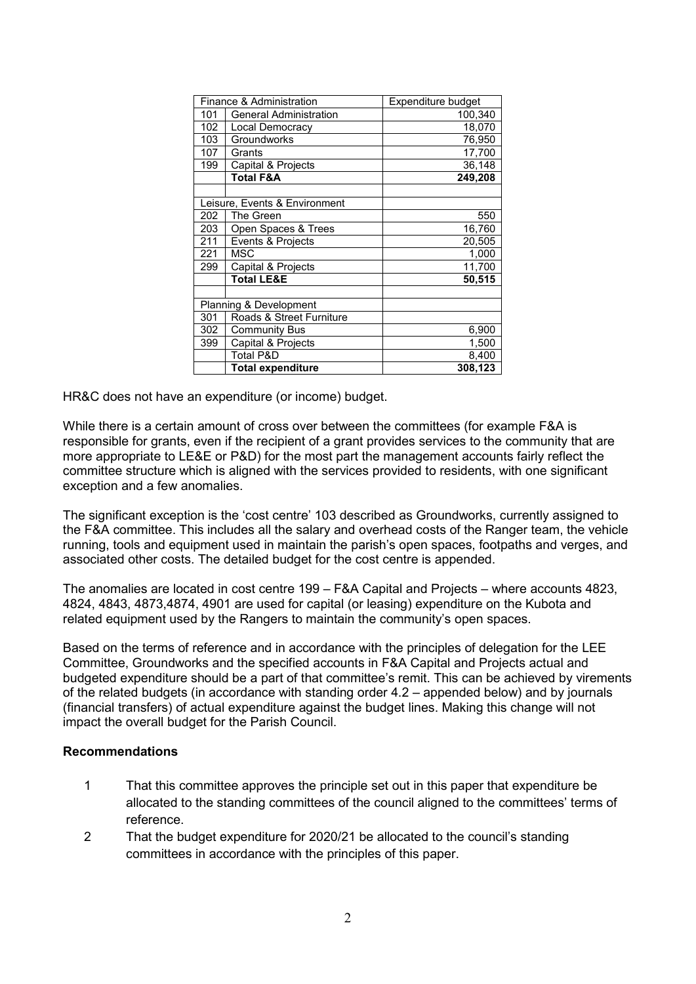| Finance & Administration      |                               | Expenditure budget |
|-------------------------------|-------------------------------|--------------------|
| 101                           | <b>General Administration</b> | 100,340            |
| 102                           | Local Democracy               | 18,070             |
| 103                           | Groundworks                   | 76,950             |
| 107                           | Grants                        | 17,700             |
| 199                           | Capital & Projects            | 36,148             |
|                               | <b>Total F&amp;A</b>          | 249,208            |
|                               |                               |                    |
| Leisure, Events & Environment |                               |                    |
| 202                           | The Green                     | 550                |
| 203                           | Open Spaces & Trees           | 16,760             |
| 211                           | Events & Projects             | 20,505             |
| 221                           | MSC                           | 1,000              |
| 299                           | Capital & Projects            | 11,700             |
|                               | <b>Total LE&amp;E</b>         | 50,515             |
|                               |                               |                    |
| Planning & Development        |                               |                    |
| 301                           | Roads & Street Furniture      |                    |
| 302                           | <b>Community Bus</b>          | 6,900              |
| 399                           | Capital & Projects            | 1,500              |
|                               | <b>Total P&amp;D</b>          | 8,400              |
|                               | <b>Total expenditure</b>      | 308,123            |

HR&C does not have an expenditure (or income) budget.

While there is a certain amount of cross over between the committees (for example F&A is responsible for grants, even if the recipient of a grant provides services to the community that are more appropriate to LE&E or P&D) for the most part the management accounts fairly reflect the committee structure which is aligned with the services provided to residents, with one significant exception and a few anomalies.

The significant exception is the 'cost centre' 103 described as Groundworks, currently assigned to the F&A committee. This includes all the salary and overhead costs of the Ranger team, the vehicle running, tools and equipment used in maintain the parish's open spaces, footpaths and verges, and associated other costs. The detailed budget for the cost centre is appended.

The anomalies are located in cost centre 199 – F&A Capital and Projects – where accounts 4823, 4824, 4843, 4873,4874, 4901 are used for capital (or leasing) expenditure on the Kubota and related equipment used by the Rangers to maintain the community's open spaces.

Based on the terms of reference and in accordance with the principles of delegation for the LEE Committee, Groundworks and the specified accounts in F&A Capital and Projects actual and budgeted expenditure should be a part of that committee's remit. This can be achieved by virements of the related budgets (in accordance with standing order 4.2 – appended below) and by journals (financial transfers) of actual expenditure against the budget lines. Making this change will not impact the overall budget for the Parish Council.

## **Recommendations**

- 1 That this committee approves the principle set out in this paper that expenditure be allocated to the standing committees of the council aligned to the committees' terms of reference.
- 2 That the budget expenditure for 2020/21 be allocated to the council's standing committees in accordance with the principles of this paper.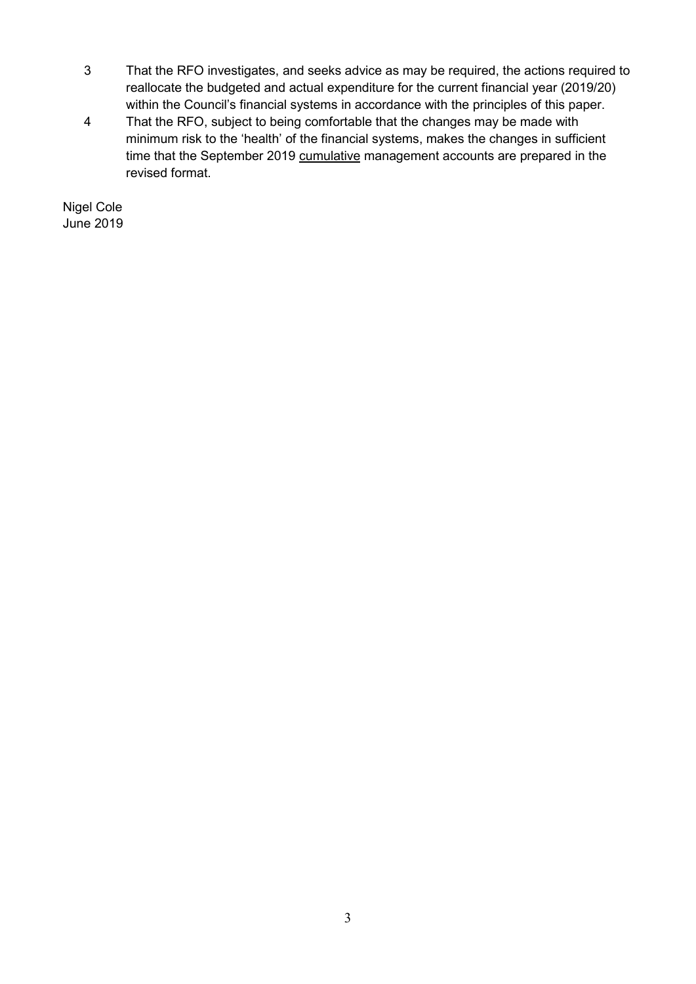- 3 That the RFO investigates, and seeks advice as may be required, the actions required to reallocate the budgeted and actual expenditure for the current financial year (2019/20) within the Council's financial systems in accordance with the principles of this paper.
- 4 That the RFO, subject to being comfortable that the changes may be made with minimum risk to the 'health' of the financial systems, makes the changes in sufficient time that the September 2019 cumulative management accounts are prepared in the revised format.

Nigel Cole June 2019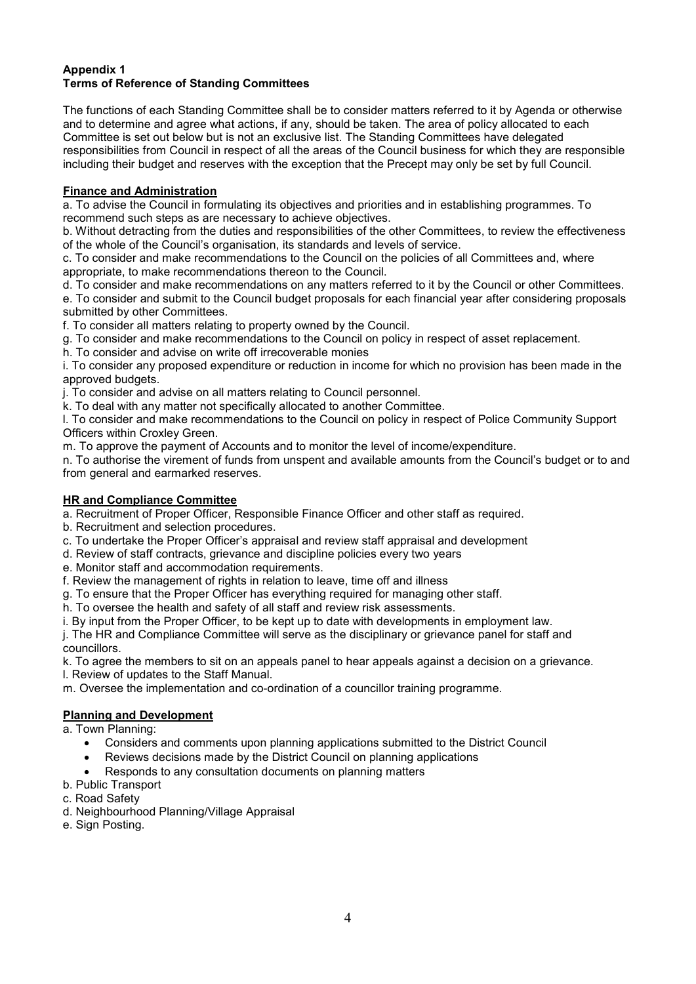#### **Appendix 1 Terms of Reference of Standing Committees**

The functions of each Standing Committee shall be to consider matters referred to it by Agenda or otherwise and to determine and agree what actions, if any, should be taken. The area of policy allocated to each Committee is set out below but is not an exclusive list. The Standing Committees have delegated responsibilities from Council in respect of all the areas of the Council business for which they are responsible including their budget and reserves with the exception that the Precept may only be set by full Council.

## **Finance and Administration**

a. To advise the Council in formulating its objectives and priorities and in establishing programmes. To recommend such steps as are necessary to achieve objectives.

b. Without detracting from the duties and responsibilities of the other Committees, to review the effectiveness of the whole of the Council's organisation, its standards and levels of service.

c. To consider and make recommendations to the Council on the policies of all Committees and, where appropriate, to make recommendations thereon to the Council.

d. To consider and make recommendations on any matters referred to it by the Council or other Committees. e. To consider and submit to the Council budget proposals for each financial year after considering proposals submitted by other Committees.

f. To consider all matters relating to property owned by the Council.

g. To consider and make recommendations to the Council on policy in respect of asset replacement.

h. To consider and advise on write off irrecoverable monies

i. To consider any proposed expenditure or reduction in income for which no provision has been made in the approved budgets.

j. To consider and advise on all matters relating to Council personnel.

k. To deal with any matter not specifically allocated to another Committee.

l. To consider and make recommendations to the Council on policy in respect of Police Community Support Officers within Croxley Green.

m. To approve the payment of Accounts and to monitor the level of income/expenditure.

n. To authorise the virement of funds from unspent and available amounts from the Council's budget or to and from general and earmarked reserves.

## **HR and Compliance Committee**

a. Recruitment of Proper Officer, Responsible Finance Officer and other staff as required.

- b. Recruitment and selection procedures.
- c. To undertake the Proper Officer's appraisal and review staff appraisal and development
- d. Review of staff contracts, grievance and discipline policies every two years
- e. Monitor staff and accommodation requirements.
- f. Review the management of rights in relation to leave, time off and illness
- g. To ensure that the Proper Officer has everything required for managing other staff.
- h. To oversee the health and safety of all staff and review risk assessments.
- i. By input from the Proper Officer, to be kept up to date with developments in employment law.

j. The HR and Compliance Committee will serve as the disciplinary or grievance panel for staff and councillors.

k. To agree the members to sit on an appeals panel to hear appeals against a decision on a grievance. l. Review of updates to the Staff Manual.

m. Oversee the implementation and co-ordination of a councillor training programme.

## **Planning and Development**

a. Town Planning:

- Considers and comments upon planning applications submitted to the District Council
- Reviews decisions made by the District Council on planning applications
- Responds to any consultation documents on planning matters
- b. Public Transport
- c. Road Safety
- d. Neighbourhood Planning/Village Appraisal
- e. Sign Posting.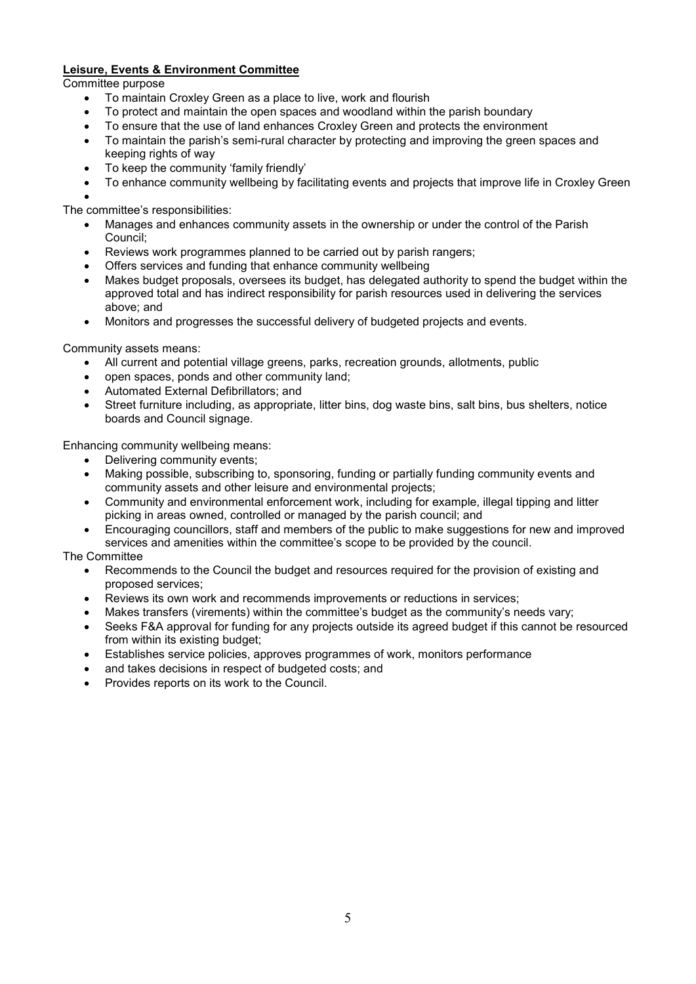## **Leisure, Events & Environment Committee**

Committee purpose

- To maintain Croxley Green as a place to live, work and flourish
- To protect and maintain the open spaces and woodland within the parish boundary
- To ensure that the use of land enhances Croxley Green and protects the environment
- To maintain the parish's semi-rural character by protecting and improving the green spaces and keeping rights of way
- To keep the community 'family friendly'
- To enhance community wellbeing by facilitating events and projects that improve life in Croxley Green
- $\bullet$

The committee's responsibilities:

- Manages and enhances community assets in the ownership or under the control of the Parish Council;
- Reviews work programmes planned to be carried out by parish rangers;
- Offers services and funding that enhance community wellbeing
- Makes budget proposals, oversees its budget, has delegated authority to spend the budget within the approved total and has indirect responsibility for parish resources used in delivering the services above; and
- Monitors and progresses the successful delivery of budgeted projects and events.

Community assets means:

- All current and potential village greens, parks, recreation grounds, allotments, public
- open spaces, ponds and other community land;
- Automated External Defibrillators; and
- Street furniture including, as appropriate, litter bins, dog waste bins, salt bins, bus shelters, notice boards and Council signage.

Enhancing community wellbeing means:

- Delivering community events;
- Making possible, subscribing to, sponsoring, funding or partially funding community events and community assets and other leisure and environmental projects;
- Community and environmental enforcement work, including for example, illegal tipping and litter picking in areas owned, controlled or managed by the parish council; and
- Encouraging councillors, staff and members of the public to make suggestions for new and improved services and amenities within the committee's scope to be provided by the council.

The Committee

- Recommends to the Council the budget and resources required for the provision of existing and proposed services;
- Reviews its own work and recommends improvements or reductions in services;
- Makes transfers (virements) within the committee's budget as the community's needs vary;
- Seeks F&A approval for funding for any projects outside its agreed budget if this cannot be resourced from within its existing budget;
- Establishes service policies, approves programmes of work, monitors performance
- and takes decisions in respect of budgeted costs; and
- Provides reports on its work to the Council.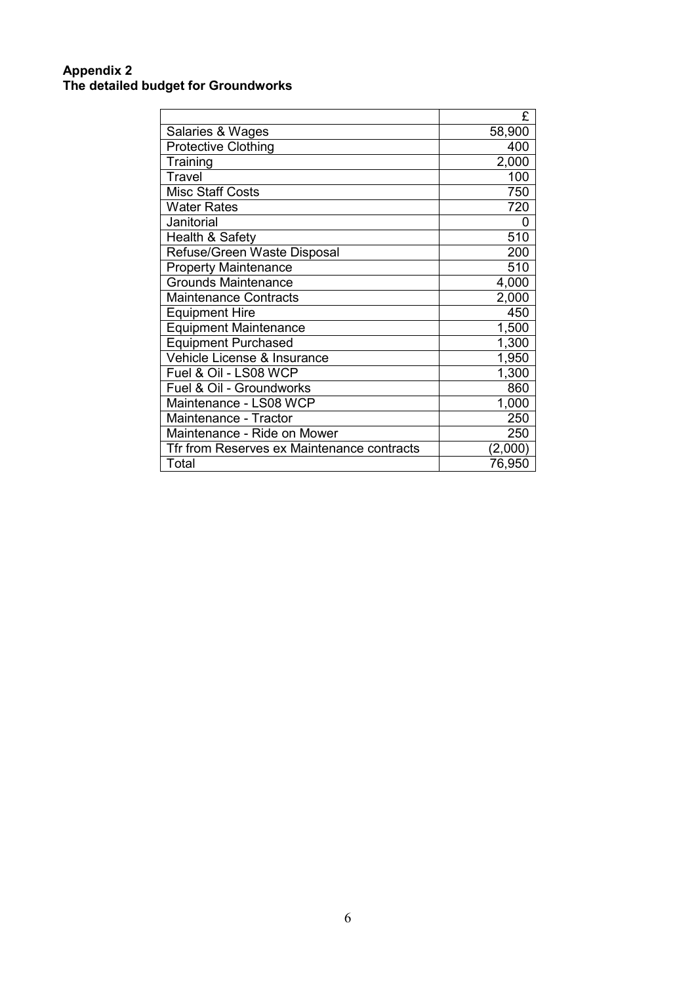## **Appendix 2 The detailed budget for Groundworks**

|                                            | £       |
|--------------------------------------------|---------|
| Salaries & Wages                           | 58,900  |
| <b>Protective Clothing</b>                 | 400     |
| Training                                   | 2,000   |
| Travel                                     | 100     |
| <b>Misc Staff Costs</b>                    | 750     |
| <b>Water Rates</b>                         | 720     |
| Janitorial                                 | 0       |
| Health & Safety                            | 510     |
| Refuse/Green Waste Disposal                | 200     |
| <b>Property Maintenance</b>                | 510     |
| <b>Grounds Maintenance</b>                 | 4,000   |
| <b>Maintenance Contracts</b>               | 2,000   |
| <b>Equipment Hire</b>                      | 450     |
| <b>Equipment Maintenance</b>               | 1,500   |
| <b>Equipment Purchased</b>                 | 1,300   |
| Vehicle License & Insurance                | 1,950   |
| Fuel & Oil - LS08 WCP                      | 1,300   |
| Fuel & Oil - Groundworks                   | 860     |
| Maintenance - LS08 WCP                     | 1,000   |
| Maintenance - Tractor                      | 250     |
| Maintenance - Ride on Mower                | 250     |
| Tfr from Reserves ex Maintenance contracts | (2,000) |
| Total                                      | 76,950  |